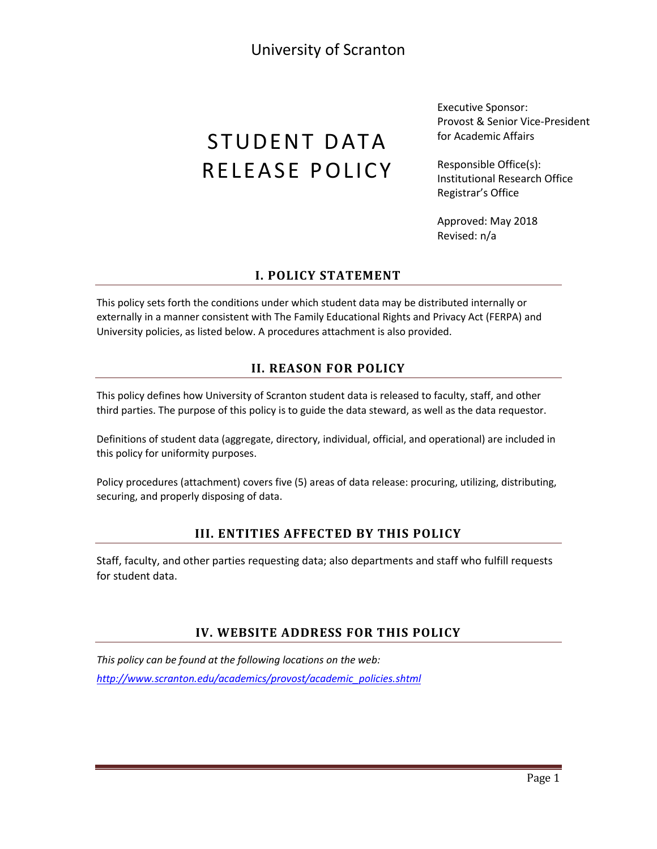## University of Scranton

# STUDENT DATA RELEASE POLICY

Executive Sponsor: Provost & Senior Vice-President for Academic Affairs

Responsible Office(s): Institutional Research Office Registrar's Office

Approved: May 2018 Revised: n/a

## **I. POLICY STATEMENT**

This policy sets forth the conditions under which student data may be distributed internally or externally in a manner consistent with The Family Educational Rights and Privacy Act (FERPA) and University policies, as listed below. A procedures attachment is also provided.

## **II. REASON FOR POLICY**

This policy defines how University of Scranton student data is released to faculty, staff, and other third parties. The purpose of this policy is to guide the data steward, as well as the data requestor.

Definitions of student data (aggregate, directory, individual, official, and operational) are included in this policy for uniformity purposes.

Policy procedures (attachment) covers five (5) areas of data release: procuring, utilizing, distributing, securing, and properly disposing of data.

## **III. ENTITIES AFFECTED BY THIS POLICY**

Staff, faculty, and other parties requesting data; also departments and staff who fulfill requests for student data.

## **IV. WEBSITE ADDRESS FOR THIS POLICY**

*This policy can be found at the following locations on the web: [http://www.scranton.edu/academics/provost/academic\\_policies.shtml](http://www.scranton.edu/academics/provost/academic_policies.shtml)*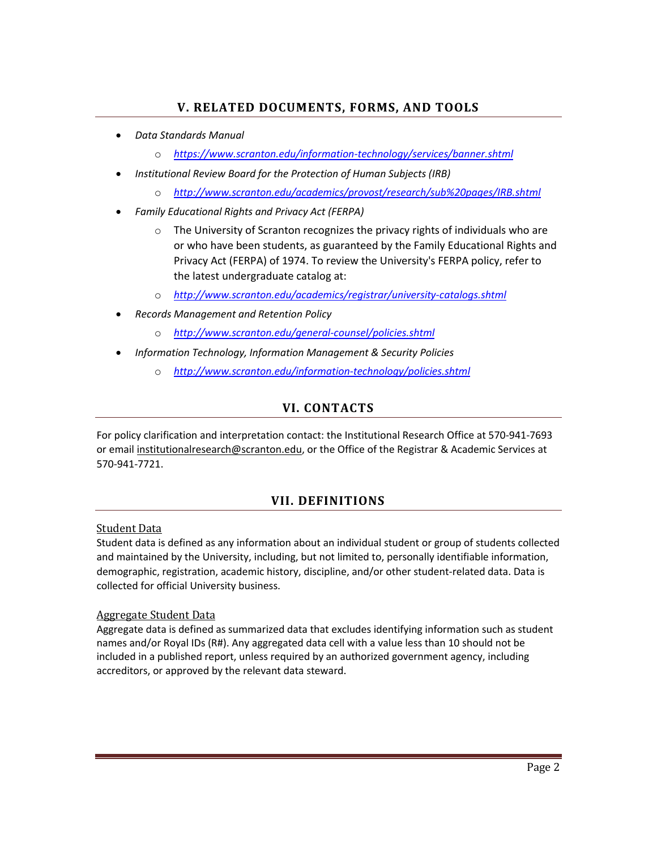- *Data Standards Manual*
	- o *<https://www.scranton.edu/information-technology/services/banner.shtml>*
- *Institutional Review Board for the Protection of Human Subjects (IRB)*
	- o *<http://www.scranton.edu/academics/provost/research/sub%20pages/IRB.shtml>*
- *Family Educational Rights and Privacy Act (FERPA)*
	- o The University of Scranton recognizes the privacy rights of individuals who are or who have been students, as guaranteed by the Family Educational Rights and Privacy Act (FERPA) of 1974. To review the University's FERPA policy, refer to the latest undergraduate catalog at:
	- o *<http://www.scranton.edu/academics/registrar/university-catalogs.shtml>*
- *Records Management and Retention Policy*
	- o *<http://www.scranton.edu/general-counsel/policies.shtml>*
- *Information Technology, Information Management & Security Policies*
	- o *<http://www.scranton.edu/information-technology/policies.shtml>*

## **VI. CONTACTS**

For policy clarification and interpretation contact: the Institutional Research Office at 570-941-7693 or emai[l institutionalresearch@scranton.edu,](mailto:institutionalresearch@scranton.edu) or the Office of the Registrar & Academic Services at 570-941-7721.

## **VII. DEFINITIONS**

#### Student Data

Student data is defined as any information about an individual student or group of students collected and maintained by the University, including, but not limited to, personally identifiable information, demographic, registration, academic history, discipline, and/or other student-related data. Data is collected for official University business.

#### Aggregate Student Data

Aggregate data is defined as summarized data that excludes identifying information such as student names and/or Royal IDs (R#). Any aggregated data cell with a value less than 10 should not be included in a published report, unless required by an authorized government agency, including accreditors, or approved by the relevant data steward.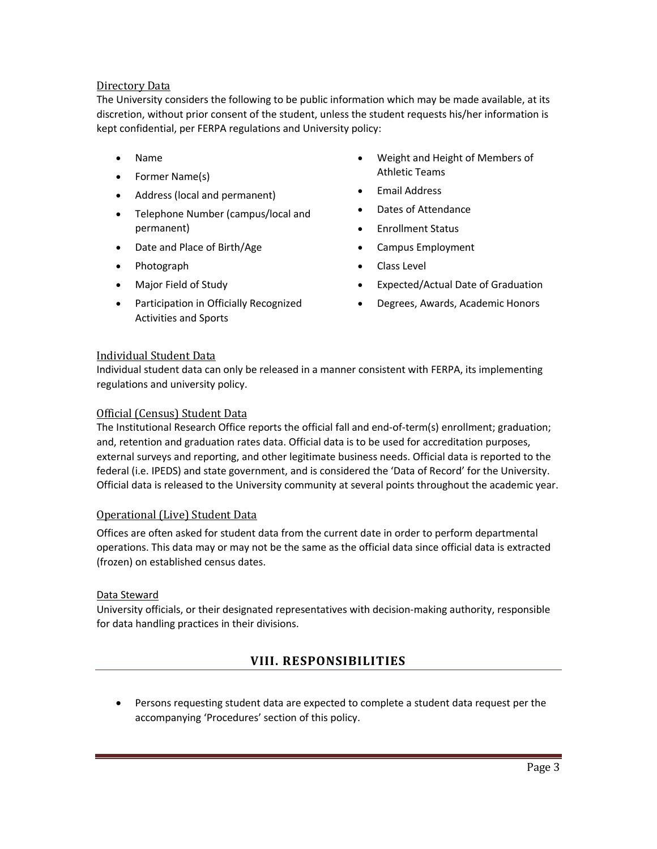#### Directory Data

The University considers the following to be public information which may be made available, at its discretion, without prior consent of the student, unless the student requests his/her information is kept confidential, per FERPA regulations and University policy:

- Name
- Former Name(s)
- Address (local and permanent)
- Telephone Number (campus/local and permanent)
- Date and Place of Birth/Age
- Photograph
- Major Field of Study
- Participation in Officially Recognized Activities and Sports
- Weight and Height of Members of Athletic Teams
- Email Address
- Dates of Attendance
- Enrollment Status
- Campus Employment
- Class Level
- Expected/Actual Date of Graduation
- Degrees, Awards, Academic Honors

#### Individual Student Data

Individual student data can only be released in a manner consistent with FERPA, its implementing regulations and university policy.

#### Official (Census) Student Data

The Institutional Research Office reports the official fall and end-of-term(s) enrollment; graduation; and, retention and graduation rates data. Official data is to be used for accreditation purposes, external surveys and reporting, and other legitimate business needs. Official data is reported to the federal (i.e. IPEDS) and state government, and is considered the 'Data of Record' for the University. Official data is released to the University community at several points throughout the academic year.

#### Operational (Live) Student Data

Offices are often asked for student data from the current date in order to perform departmental operations. This data may or may not be the same as the official data since official data is extracted (frozen) on established census dates.

#### Data Steward

University officials, or their designated representatives with decision-making authority, responsible for data handling practices in their divisions.

## **VIII. RESPONSIBILITIES**

 Persons requesting student data are expected to complete a student data request per the accompanying 'Procedures' section of this policy.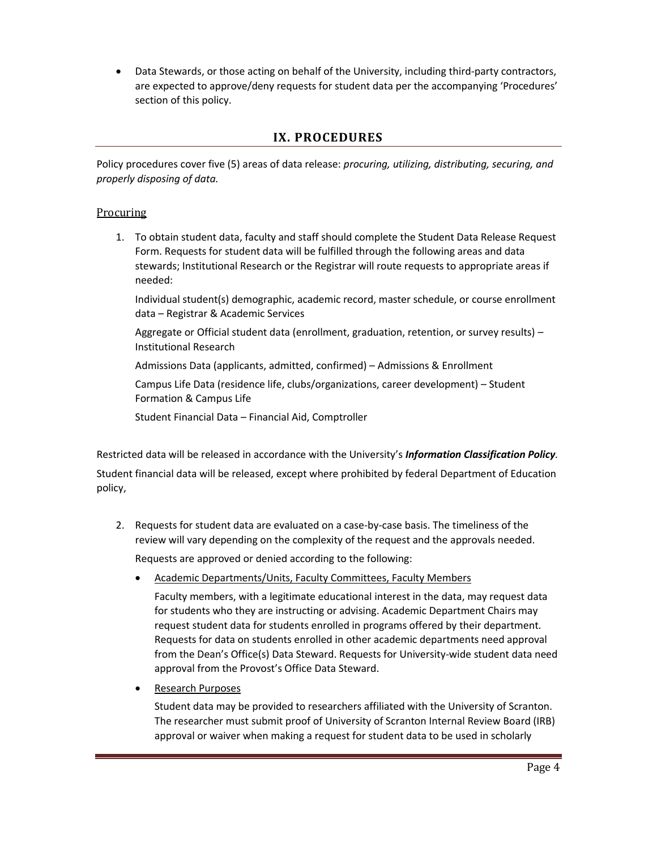Data Stewards, or those acting on behalf of the University, including third-party contractors, are expected to approve/deny requests for student data per the accompanying 'Procedures' section of this policy.

## **IX. PROCEDURES**

Policy procedures cover five (5) areas of data release: *procuring, utilizing, distributing, securing, and properly disposing of data.* 

#### **Procuring**

1. To obtain student data, faculty and staff should complete the Student Data Release Request Form. Requests for student data will be fulfilled through the following areas and data stewards; Institutional Research or the Registrar will route requests to appropriate areas if needed:

Individual student(s) demographic, academic record, master schedule, or course enrollment data – Registrar & Academic Services

Aggregate or Official student data (enrollment, graduation, retention, or survey results) – Institutional Research

Admissions Data (applicants, admitted, confirmed) – Admissions & Enrollment

Campus Life Data (residence life, clubs/organizations, career development) – Student Formation & Campus Life

Student Financial Data – Financial Aid, Comptroller

Restricted data will be released in accordance with the University's *Information Classification Policy.*

Student financial data will be released, except where prohibited by federal Department of Education policy,

- 2. Requests for student data are evaluated on a case-by-case basis. The timeliness of the review will vary depending on the complexity of the request and the approvals needed. Requests are approved or denied according to the following:
	- Academic Departments/Units, Faculty Committees, Faculty Members

Faculty members, with a legitimate educational interest in the data, may request data for students who they are instructing or advising. Academic Department Chairs may request student data for students enrolled in programs offered by their department. Requests for data on students enrolled in other academic departments need approval from the Dean's Office(s) Data Steward. Requests for University-wide student data need approval from the Provost's Office Data Steward.

Research Purposes

Student data may be provided to researchers affiliated with the University of Scranton. The researcher must submit proof of University of Scranton Internal Review Board (IRB) approval or waiver when making a request for student data to be used in scholarly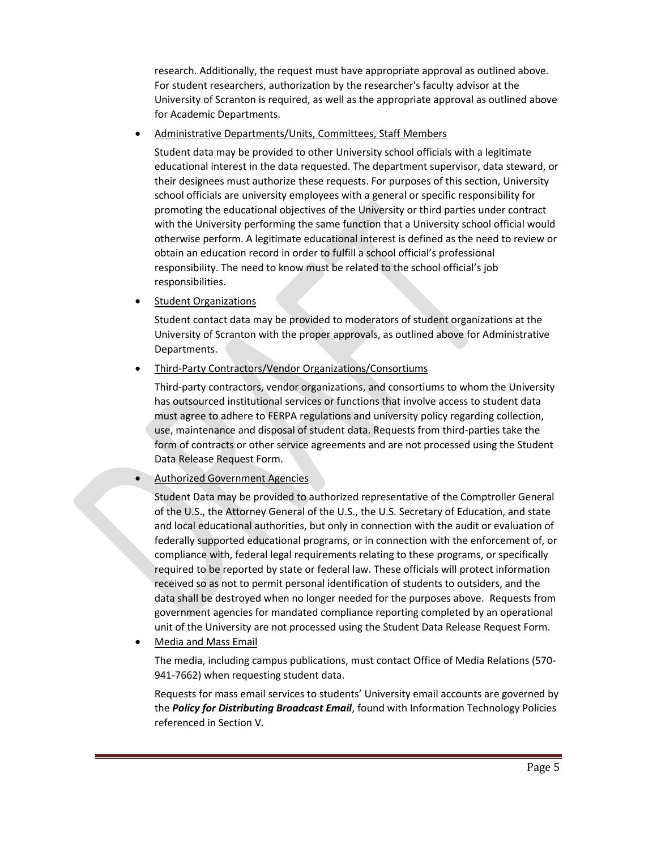research. Additionally, the request must have appropriate approval as outlined above. For student researchers, authorization by the researcher's faculty advisor at the University of Scranton is required, as well as the appropriate approval as outlined above for Academic Departments.

Administrative Departments/Units, Committees, Staff Members

Student data may be provided to other University school officials with a legitimate educational interest in the data requested. The department supervisor, data steward, or their designees must authorize these requests. For purposes of this section, University school officials are university employees with a general or specific responsibility for promoting the educational objectives of the University or third parties under contract with the University performing the same function that a University school official would otherwise perform. A legitimate educational interest is defined as the need to review or obtain an education record in order to fulfill a school official's professional responsibility. The need to know must be related to the school official's job responsibilities.

• Student Organizations

Student contact data may be provided to moderators of student organizations at the University of Scranton with the proper approvals, as outlined above for Administrative Departments.

• Third-Party Contractors/Vendor Organizations/Consortiums

Third-party contractors, vendor organizations, and consortiums to whom the University has outsourced institutional services or functions that involve access to student data must agree to adhere to FERPA regulations and university policy regarding collection, use, maintenance and disposal of student data. Requests from third-parties take the form of contracts or other service agreements and are not processed using the Student Data Release Request Form.

#### Authorized Government Agencies

Student Data may be provided to authorized representative of the Comptroller General of the U.S., the Attorney General of the U.S., the U.S. Secretary of Education, and state and local educational authorities, but only in connection with the audit or evaluation of federally supported educational programs, or in connection with the enforcement of, or compliance with, federal legal requirements relating to these programs, or specifically required to be reported by state or federal law. These officials will protect information received so as not to permit personal identification of students to outsiders, and the data shall be destroyed when no longer needed for the purposes above. Requests from government agencies for mandated compliance reporting completed by an operational unit of the University are not processed using the Student Data Release Request Form.

Media and Mass Email

The media, including campus publications, must contact Office of Media Relations (570- 941-7662) when requesting student data.

Requests for mass email services to students' University email accounts are governed by the *Policy for Distributing Broadcast Email*, found with Information Technology Policies referenced in Section V.